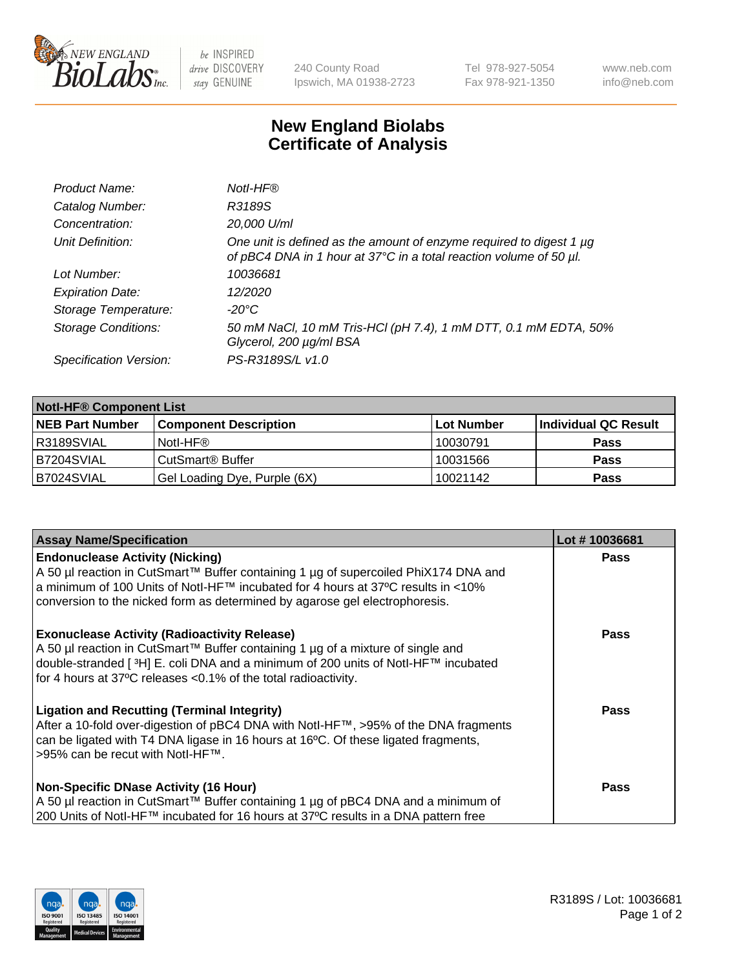

 $be$  INSPIRED drive DISCOVERY stay GENUINE

240 County Road Ipswich, MA 01938-2723 Tel 978-927-5054 Fax 978-921-1350 www.neb.com info@neb.com

## **New England Biolabs Certificate of Analysis**

| Product Name:              | Notl-HF®                                                                                                                                  |
|----------------------------|-------------------------------------------------------------------------------------------------------------------------------------------|
| Catalog Number:            | R3189S                                                                                                                                    |
| Concentration:             | 20,000 U/ml                                                                                                                               |
| Unit Definition:           | One unit is defined as the amount of enzyme required to digest 1 µg<br>of pBC4 DNA in 1 hour at 37°C in a total reaction volume of 50 µl. |
| Lot Number:                | 10036681                                                                                                                                  |
| <b>Expiration Date:</b>    | 12/2020                                                                                                                                   |
| Storage Temperature:       | -20°C                                                                                                                                     |
| <b>Storage Conditions:</b> | 50 mM NaCl, 10 mM Tris-HCl (pH 7.4), 1 mM DTT, 0.1 mM EDTA, 50%<br>Glycerol, 200 µg/ml BSA                                                |
| Specification Version:     | PS-R3189S/L v1.0                                                                                                                          |

| <b>Notl-HF® Component List</b> |                              |            |                      |  |  |
|--------------------------------|------------------------------|------------|----------------------|--|--|
| <b>NEB Part Number</b>         | <b>Component Description</b> | Lot Number | Individual QC Result |  |  |
| R3189SVIAL                     | Notl-HF®                     | 10030791   | <b>Pass</b>          |  |  |
| B7204SVIAL                     | CutSmart <sup>®</sup> Buffer | 10031566   | <b>Pass</b>          |  |  |
| B7024SVIAL                     | Gel Loading Dye, Purple (6X) | 10021142   | <b>Pass</b>          |  |  |

| <b>Assay Name/Specification</b>                                                                                                                                                                                                                                                                            | Lot #10036681 |
|------------------------------------------------------------------------------------------------------------------------------------------------------------------------------------------------------------------------------------------------------------------------------------------------------------|---------------|
| <b>Endonuclease Activity (Nicking)</b><br>  A 50 µl reaction in CutSmart™ Buffer containing 1 µg of supercoiled PhiX174 DNA and                                                                                                                                                                            | <b>Pass</b>   |
| a minimum of 100 Units of Notl-HF™ incubated for 4 hours at 37°C results in <10%<br>conversion to the nicked form as determined by agarose gel electrophoresis.                                                                                                                                            |               |
| <b>Exonuclease Activity (Radioactivity Release)</b><br>A 50 µl reaction in CutSmart™ Buffer containing 1 µg of a mixture of single and<br>double-stranded [ <sup>3</sup> H] E. coli DNA and a minimum of 200 units of Notl-HF™ incubated<br>for 4 hours at 37°C releases <0.1% of the total radioactivity. | <b>Pass</b>   |
| <b>Ligation and Recutting (Terminal Integrity)</b><br>After a 10-fold over-digestion of pBC4 DNA with Notl-HF™, >95% of the DNA fragments<br>can be ligated with T4 DNA ligase in 16 hours at 16 $\degree$ C. Of these ligated fragments,<br> >95% can be recut with NotI-HF™.                             | <b>Pass</b>   |
| <b>Non-Specific DNase Activity (16 Hour)</b>                                                                                                                                                                                                                                                               | <b>Pass</b>   |
| A 50 µl reaction in CutSmart™ Buffer containing 1 µg of pBC4 DNA and a minimum of                                                                                                                                                                                                                          |               |
| 200 Units of Notl-HF™ incubated for 16 hours at 37°C results in a DNA pattern free                                                                                                                                                                                                                         |               |